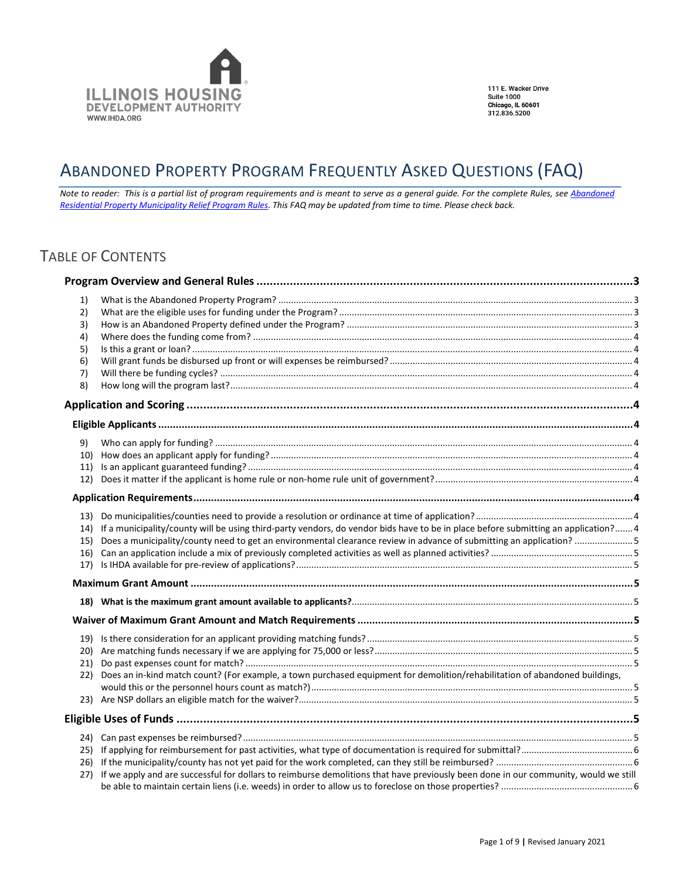

111 E. Wacker Drive **Suite 1000** Chicago, IL 60601<br>312.836.5200

# <span id="page-0-0"></span>ABANDONED PROPERTY PROGRAM FREQUENTLY ASKED QUESTIONS (FAQ)

*Note to reader: This is a partial list of program requirements and is meant to serve as a general guide. For the complete Rules, see [Abandoned](http://www.ihda.org/government/documents/Part381RegisterVersion.pdf)  [Residential Property Municipality Relief Program Rules.](http://www.ihda.org/government/documents/Part381RegisterVersion.pdf) This FAQ may be updated from time to time. Please check back.*

## TABLE OF CONTENTS

| 1)<br>2)<br>3)<br>4)<br>5)<br>6)<br>7)<br>8) |                                                                                                                                                                                                                                                               |  |
|----------------------------------------------|---------------------------------------------------------------------------------------------------------------------------------------------------------------------------------------------------------------------------------------------------------------|--|
|                                              |                                                                                                                                                                                                                                                               |  |
|                                              |                                                                                                                                                                                                                                                               |  |
| 9)<br>11)<br>12)                             |                                                                                                                                                                                                                                                               |  |
|                                              |                                                                                                                                                                                                                                                               |  |
| 15)<br>16)<br>17)                            | 14) If a municipality/county will be using third-party vendors, do vendor bids have to be in place before submitting an application? 4<br>Does a municipality/county need to get an environmental clearance review in advance of submitting an application? 5 |  |
|                                              |                                                                                                                                                                                                                                                               |  |
|                                              |                                                                                                                                                                                                                                                               |  |
|                                              |                                                                                                                                                                                                                                                               |  |
| 21)<br>22)                                   | Does an in-kind match count? (For example, a town purchased equipment for demolition/rehabilitation of abandoned buildings,                                                                                                                                   |  |
|                                              |                                                                                                                                                                                                                                                               |  |
| 26)<br>27)                                   | If we apply and are successful for dollars to reimburse demolitions that have previously been done in our community, would we still                                                                                                                           |  |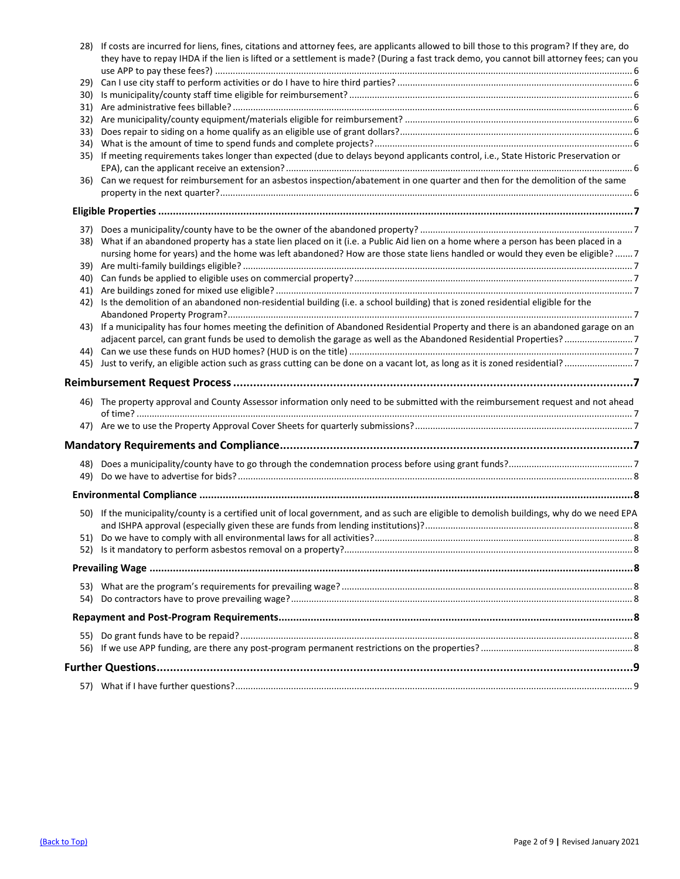|     | 28) If costs are incurred for liens, fines, citations and attorney fees, are applicants allowed to bill those to this program? If they are, do<br>they have to repay IHDA if the lien is lifted or a settlement is made? (During a fast track demo, you cannot bill attorney fees; can you |  |
|-----|--------------------------------------------------------------------------------------------------------------------------------------------------------------------------------------------------------------------------------------------------------------------------------------------|--|
|     |                                                                                                                                                                                                                                                                                            |  |
|     |                                                                                                                                                                                                                                                                                            |  |
| 30) |                                                                                                                                                                                                                                                                                            |  |
| 31) |                                                                                                                                                                                                                                                                                            |  |
| 32) |                                                                                                                                                                                                                                                                                            |  |
| 33) |                                                                                                                                                                                                                                                                                            |  |
| 34) |                                                                                                                                                                                                                                                                                            |  |
| 35) | If meeting requirements takes longer than expected (due to delays beyond applicants control, i.e., State Historic Preservation or                                                                                                                                                          |  |
| 36) | Can we request for reimbursement for an asbestos inspection/abatement in one quarter and then for the demolition of the same                                                                                                                                                               |  |
|     |                                                                                                                                                                                                                                                                                            |  |
| 37) |                                                                                                                                                                                                                                                                                            |  |
| 38) | What if an abandoned property has a state lien placed on it (i.e. a Public Aid lien on a home where a person has been placed in a                                                                                                                                                          |  |
|     | nursing home for years) and the home was left abandoned? How are those state liens handled or would they even be eligible?  7                                                                                                                                                              |  |
| 39) |                                                                                                                                                                                                                                                                                            |  |
| 40) |                                                                                                                                                                                                                                                                                            |  |
| 41) |                                                                                                                                                                                                                                                                                            |  |
| 42) | Is the demolition of an abandoned non-residential building (i.e. a school building) that is zoned residential eligible for the                                                                                                                                                             |  |
|     |                                                                                                                                                                                                                                                                                            |  |
| 43) | If a municipality has four homes meeting the definition of Abandoned Residential Property and there is an abandoned garage on an                                                                                                                                                           |  |
|     | adjacent parcel, can grant funds be used to demolish the garage as well as the Abandoned Residential Properties?7                                                                                                                                                                          |  |
| 44) |                                                                                                                                                                                                                                                                                            |  |
|     |                                                                                                                                                                                                                                                                                            |  |
|     |                                                                                                                                                                                                                                                                                            |  |
|     | 46) The property approval and County Assessor information only need to be submitted with the reimbursement request and not ahead                                                                                                                                                           |  |
|     |                                                                                                                                                                                                                                                                                            |  |
|     |                                                                                                                                                                                                                                                                                            |  |
| 48) |                                                                                                                                                                                                                                                                                            |  |
| 49) |                                                                                                                                                                                                                                                                                            |  |
|     |                                                                                                                                                                                                                                                                                            |  |
|     |                                                                                                                                                                                                                                                                                            |  |
|     | 50) If the municipality/county is a certified unit of local government, and as such are eligible to demolish buildings, why do we need EPA                                                                                                                                                 |  |
|     |                                                                                                                                                                                                                                                                                            |  |
|     |                                                                                                                                                                                                                                                                                            |  |
|     |                                                                                                                                                                                                                                                                                            |  |
|     |                                                                                                                                                                                                                                                                                            |  |
|     |                                                                                                                                                                                                                                                                                            |  |
|     |                                                                                                                                                                                                                                                                                            |  |
|     |                                                                                                                                                                                                                                                                                            |  |
|     |                                                                                                                                                                                                                                                                                            |  |
|     |                                                                                                                                                                                                                                                                                            |  |
|     |                                                                                                                                                                                                                                                                                            |  |
|     |                                                                                                                                                                                                                                                                                            |  |
|     |                                                                                                                                                                                                                                                                                            |  |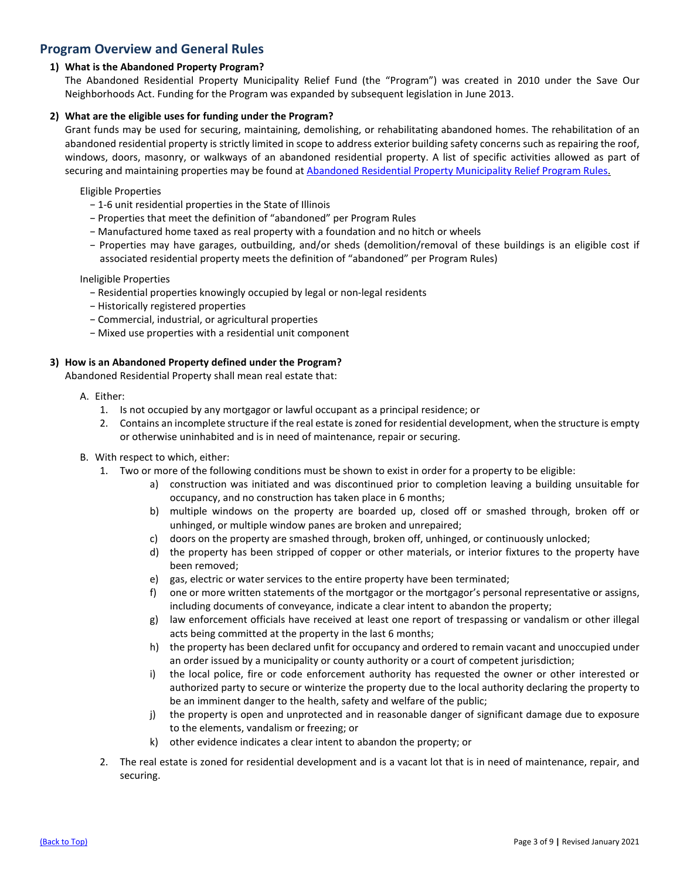### <span id="page-2-0"></span>**Program Overview and General Rules**

### <span id="page-2-1"></span>**1) What is the Abandoned Property Program?**

The Abandoned Residential Property Municipality Relief Fund (the "Program") was created in 2010 under the Save Our Neighborhoods Act. Funding for the Program was expanded by subsequent legislation in June 2013.

### <span id="page-2-2"></span>**2) What are the eligible uses for funding under the Program?**

Grant funds may be used for securing, maintaining, demolishing, or rehabilitating abandoned homes. The rehabilitation of an abandoned residential property is strictly limited in scope to address exterior building safety concerns such as repairing the roof, windows, doors, masonry, or walkways of an abandoned residential property. A list of specific activities allowed as part of securing and maintaining properties may be found a[t Abandoned Residential Property Municipality Relief Program Rules.](http://www.ihda.org/government/documents/Part381RegisterVersion.pdf)

Eligible Properties

- − 1-6 unit residential properties in the State of Illinois
- − Properties that meet the definition of "abandoned" per Program Rules
- − Manufactured home taxed as real property with a foundation and no hitch or wheels
- − Properties may have garages, outbuilding, and/or sheds (demolition/removal of these buildings is an eligible cost if associated residential property meets the definition of "abandoned" per Program Rules)

Ineligible Properties

- − Residential properties knowingly occupied by legal or non-legal residents
- − Historically registered properties
- − Commercial, industrial, or agricultural properties
- − Mixed use properties with a residential unit component

### <span id="page-2-3"></span>**3) How is an Abandoned Property defined under the Program?**

Abandoned Residential Property shall mean real estate that:

- A. Either:
	- 1. Is not occupied by any mortgagor or lawful occupant as a principal residence; or
	- 2. Contains an incomplete structure if the real estate is zoned for residential development, when the structure is empty or otherwise uninhabited and is in need of maintenance, repair or securing.
- B. With respect to which, either:
	- 1. Two or more of the following conditions must be shown to exist in order for a property to be eligible:
		- a) construction was initiated and was discontinued prior to completion leaving a building unsuitable for occupancy, and no construction has taken place in 6 months;
		- b) multiple windows on the property are boarded up, closed off or smashed through, broken off or unhinged, or multiple window panes are broken and unrepaired;
		- c) doors on the property are smashed through, broken off, unhinged, or continuously unlocked;
		- d) the property has been stripped of copper or other materials, or interior fixtures to the property have been removed;
		- e) gas, electric or water services to the entire property have been terminated;
		- f) one or more written statements of the mortgagor or the mortgagor's personal representative or assigns, including documents of conveyance, indicate a clear intent to abandon the property;
		- g) law enforcement officials have received at least one report of trespassing or vandalism or other illegal acts being committed at the property in the last 6 months;
		- h) the property has been declared unfit for occupancy and ordered to remain vacant and unoccupied under an order issued by a municipality or county authority or a court of competent jurisdiction;
		- i) the local police, fire or code enforcement authority has requested the owner or other interested or authorized party to secure or winterize the property due to the local authority declaring the property to be an imminent danger to the health, safety and welfare of the public;
		- j) the property is open and unprotected and in reasonable danger of significant damage due to exposure to the elements, vandalism or freezing; or
		- k) other evidence indicates a clear intent to abandon the property; or
	- 2. The real estate is zoned for residential development and is a vacant lot that is in need of maintenance, repair, and securing.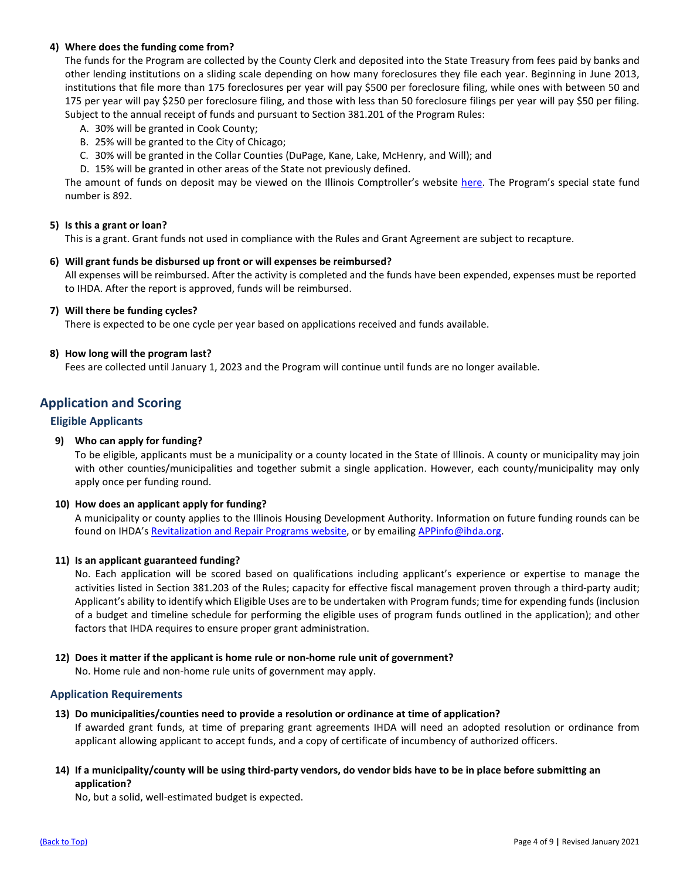### <span id="page-3-0"></span>**4) Where does the funding come from?**

The funds for the Program are collected by the County Clerk and deposited into the State Treasury from fees paid by banks and other lending institutions on a sliding scale depending on how many foreclosures they file each year. Beginning in June 2013, institutions that file more than 175 foreclosures per year will pay \$500 per foreclosure filing, while ones with between 50 and 175 per year will pay \$250 per foreclosure filing, and those with less than 50 foreclosure filings per year will pay \$50 per filing. Subject to the annual receipt of funds and pursuant to Section 381.201 of the Program Rules:

- A. 30% will be granted in Cook County;
- B. 25% will be granted to the City of Chicago;
- C. 30% will be granted in the Collar Counties (DuPage, Kane, Lake, McHenry, and Will); and
- D. 15% will be granted in other areas of the State not previously defined.

The amount of funds on deposit may be viewed on the Illinois Comptroller's website [here.](https://illinoiscomptroller.gov/financial-data/fiscal-information/fund-search/) The Program's special state fund number is 892.

### <span id="page-3-1"></span>**5) Is this a grant or loan?**

This is a grant. Grant funds not used in compliance with the Rules and Grant Agreement are subject to recapture.

### <span id="page-3-2"></span>**6) Will grant funds be disbursed up front or will expenses be reimbursed?**

All expenses will be reimbursed. After the activity is completed and the funds have been expended, expenses must be reported to IHDA. After the report is approved, funds will be reimbursed.

### <span id="page-3-3"></span>**7) Will there be funding cycles?**

There is expected to be one cycle per year based on applications received and funds available.

### <span id="page-3-4"></span>**8) How long will the program last?**

Fees are collected until January 1, 2023 and the Program will continue until funds are no longer available.

### <span id="page-3-5"></span>**Application and Scoring**

### <span id="page-3-6"></span>**Eligible Applicants**

### <span id="page-3-7"></span>**9) Who can apply for funding?**

To be eligible, applicants must be a municipality or a county located in the State of Illinois. A county or municipality may join with other counties/municipalities and together submit a single application. However, each county/municipality may only apply once per funding round.

### <span id="page-3-8"></span>**10) How does an applicant apply for funding?**

A municipality or county applies to the Illinois Housing Development Authority. Information on future funding rounds can be found on IHDA's [Revitalization and Repair Programs website,](https://www.ihda.org/my-community/revitalization-programs/) or by emailing APPinfo@ihda.org.

### <span id="page-3-9"></span>**11) Is an applicant guaranteed funding?**

No. Each application will be scored based on qualifications including applicant's experience or expertise to manage the activities listed in Section 381.203 of the Rules; capacity for effective fiscal management proven through a third-party audit; Applicant's ability to identify which Eligible Uses are to be undertaken with Program funds; time for expending funds (inclusion of a budget and timeline schedule for performing the eligible uses of program funds outlined in the application); and other factors that IHDA requires to ensure proper grant administration.

### <span id="page-3-10"></span>**12) Does it matter if the applicant is home rule or non-home rule unit of government?**

No. Home rule and non-home rule units of government may apply.

### <span id="page-3-11"></span>**Application Requirements**

<span id="page-3-12"></span>**13) Do municipalities/counties need to provide a resolution or ordinance at time of application?**

If awarded grant funds, at time of preparing grant agreements IHDA will need an adopted resolution or ordinance from applicant allowing applicant to accept funds, and a copy of certificate of incumbency of authorized officers.

### <span id="page-3-13"></span>**14) If a municipality/county will be using third-party vendors, do vendor bids have to be in place before submitting an application?**

No, but a solid, well-estimated budget is expected.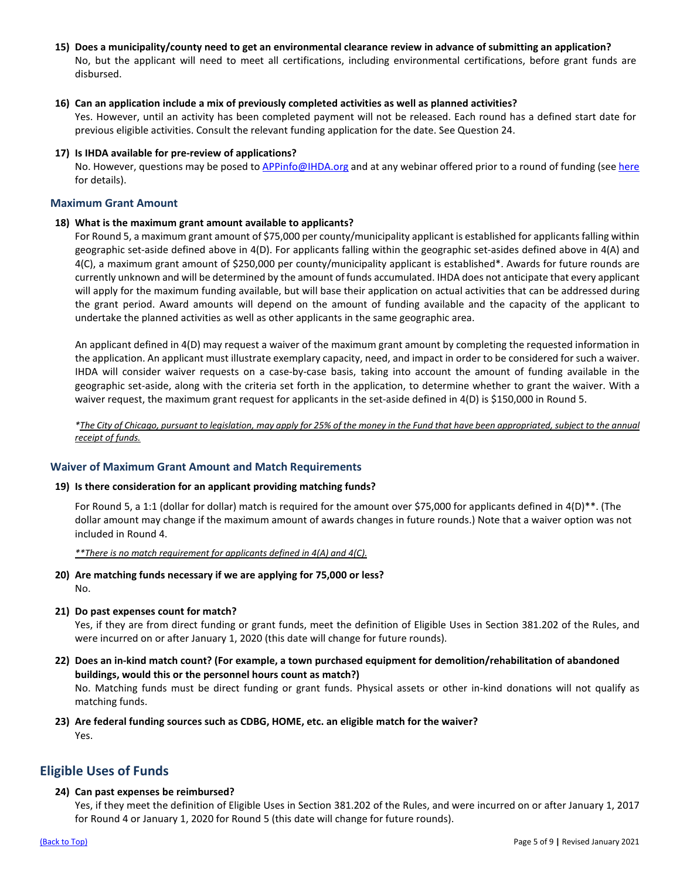<span id="page-4-0"></span>**15) Does a municipality/county need to get an environmental clearance review in advance of submitting an application?** No, but the applicant will need to meet all certifications, including environmental certifications, before grant funds are disbursed.

### <span id="page-4-1"></span>**16) Can an application include a mix of previously completed activities as well as planned activities?**

Yes. However, until an activity has been completed payment will not be released. Each round has a defined start date for previous eligible activities. Consult the relevant funding application for the date. See Question 24.

<span id="page-4-2"></span>**17) Is IHDA available for pre-review of applications?**

No. However, questions may be posed t[o APPinfo@IHDA.org](mailto:APPinfo@IHDA.org) and at any webinar offered prior to a round of funding (se[e here](http://www.ihda.org/my-community/revitalization-programs/) for details).

### <span id="page-4-3"></span>**Maximum Grant Amount**

### <span id="page-4-4"></span>**18) What is the maximum grant amount available to applicants?**

For Round 5, a maximum grant amount of \$75,000 per county/municipality applicant is established for applicants falling within geographic set-aside defined above in 4(D). For applicants falling within the geographic set-asides defined above in 4(A) and 4(C), a maximum grant amount of \$250,000 per county/municipality applicant is established\*. Awards for future rounds are currently unknown and will be determined by the amount of funds accumulated. IHDA does not anticipate that every applicant will apply for the maximum funding available, but will base their application on actual activities that can be addressed during the grant period. Award amounts will depend on the amount of funding available and the capacity of the applicant to undertake the planned activities as well as other applicants in the same geographic area.

An applicant defined in 4(D) may request a waiver of the maximum grant amount by completing the requested information in the application. An applicant must illustrate exemplary capacity, need, and impact in order to be considered for such a waiver. IHDA will consider waiver requests on a case-by-case basis, taking into account the amount of funding available in the geographic set-aside, along with the criteria set forth in the application, to determine whether to grant the waiver. With a waiver request, the maximum grant request for applicants in the set-aside defined in 4(D) is \$150,000 in Round 5.

*\*The City of Chicago, pursuant to legislation, may apply for 25% of the money in the Fund that have been appropriated, subject to the annual receipt of funds.*

### <span id="page-4-5"></span>**Waiver of Maximum Grant Amount and Match Requirements**

### <span id="page-4-6"></span>**19) Is there consideration for an applicant providing matching funds?**

For Round 5, a 1:1 (dollar for dollar) match is required for the amount over \$75,000 for applicants defined in 4(D)\*\*. (The dollar amount may change if the maximum amount of awards changes in future rounds.) Note that a waiver option was not included in Round 4.

*\*\*There is no match requirement for applicants defined in 4(A) and 4(C).*

- <span id="page-4-7"></span>**20) Are matching funds necessary if we are applying for 75,000 or less?** No.
- <span id="page-4-8"></span>**21) Do past expenses count for match?**

Yes, if they are from direct funding or grant funds, meet the definition of Eligible Uses in Section 381.202 of the Rules, and were incurred on or after January 1, 2020 (this date will change for future rounds).

- <span id="page-4-9"></span>**22) Does an in-kind match count? (For example, a town purchased equipment for demolition/rehabilitation of abandoned buildings, would this or the personnel hours count as match?)** No. Matching funds must be direct funding or grant funds. Physical assets or other in-kind donations will not qualify as matching funds.
- <span id="page-4-10"></span>**23) Are federal funding sources such as CDBG, HOME, etc. an eligible match for the waiver?** Yes.

### <span id="page-4-11"></span>**Eligible Uses of Funds**

### <span id="page-4-12"></span>**24) Can past expenses be reimbursed?**

Yes, if they meet the definition of Eligible Uses in Section 381.202 of the Rules, and were incurred on or after January 1, 2017 for Round 4 or January 1, 2020 for Round 5 (this date will change for future rounds).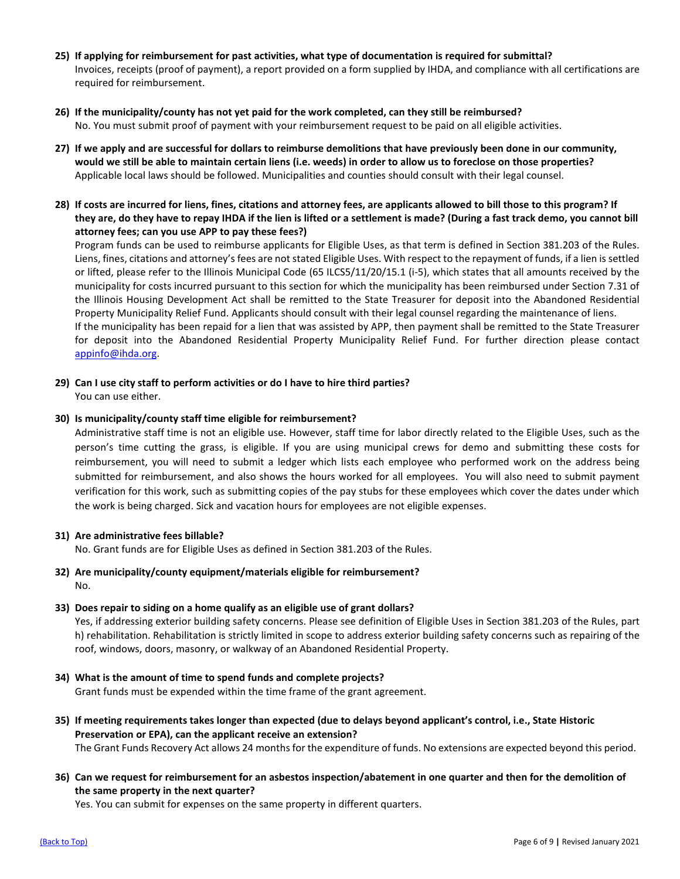- <span id="page-5-0"></span>**25) If applying for reimbursement for past activities, what type of documentation is required for submittal?** Invoices, receipts (proof of payment), a report provided on a form supplied by IHDA, and compliance with all certifications are required for reimbursement.
- <span id="page-5-1"></span>**26) If the municipality/county has not yet paid for the work completed, can they still be reimbursed?**  No. You must submit proof of payment with your reimbursement request to be paid on all eligible activities.
- <span id="page-5-2"></span>**27) If we apply and are successful for dollars to reimburse demolitions that have previously been done in our community, would we still be able to maintain certain liens (i.e. weeds) in order to allow us to foreclose on those properties?**  Applicable local laws should be followed. Municipalities and counties should consult with their legal counsel.
- <span id="page-5-3"></span>**28) If costs are incurred for liens, fines, citations and attorney fees, are applicants allowed to bill those to this program? If they are, do they have to repay IHDA if the lien is lifted or a settlement is made? (During a fast track demo, you cannot bill attorney fees; can you use APP to pay these fees?)**

Program funds can be used to reimburse applicants for Eligible Uses, as that term is defined in Section 381.203 of the Rules. Liens, fines, citations and attorney's fees are not stated Eligible Uses. With respect to the repayment of funds, if a lien is settled or lifted, please refer to the Illinois Municipal Code (65 ILCS5/11/20/15.1 (i-5), which states that all amounts received by the municipality for costs incurred pursuant to this section for which the municipality has been reimbursed under Section 7.31 of the Illinois Housing Development Act shall be remitted to the State Treasurer for deposit into the Abandoned Residential Property Municipality Relief Fund. Applicants should consult with their legal counsel regarding the maintenance of liens. If the municipality has been repaid for a lien that was assisted by APP, then payment shall be remitted to the State Treasurer for deposit into the Abandoned Residential Property Municipality Relief Fund. For further direction please contact [appinfo@ihda.org.](mailto:appinfo@ihda.org)

<span id="page-5-4"></span>**29) Can I use city staff to perform activities or do I have to hire third parties?**

You can use either.

### <span id="page-5-5"></span>**30) Is municipality/county staff time eligible for reimbursement?**

Administrative staff time is not an eligible use. However, staff time for labor directly related to the Eligible Uses, such as the person's time cutting the grass, is eligible. If you are using municipal crews for demo and submitting these costs for reimbursement, you will need to submit a ledger which lists each employee who performed work on the address being submitted for reimbursement, and also shows the hours worked for all employees. You will also need to submit payment verification for this work, such as submitting copies of the pay stubs for these employees which cover the dates under which the work is being charged. Sick and vacation hours for employees are not eligible expenses.

### <span id="page-5-6"></span>**31) Are administrative fees billable?**

No. Grant funds are for Eligible Uses as defined in Section 381.203 of the Rules.

<span id="page-5-7"></span>**32) Are municipality/county equipment/materials eligible for reimbursement?**  No.

### <span id="page-5-8"></span>**33) Does repair to siding on a home qualify as an eligible use of grant dollars?**

Yes, if addressing exterior building safety concerns. Please see definition of Eligible Uses in Section 381.203 of the Rules, part h) rehabilitation. Rehabilitation is strictly limited in scope to address exterior building safety concerns such as repairing of the roof, windows, doors, masonry, or walkway of an Abandoned Residential Property.

- <span id="page-5-9"></span>**34) What is the amount of time to spend funds and complete projects?**  Grant funds must be expended within the time frame of the grant agreement.
- <span id="page-5-10"></span>**35) If meeting requirements takes longer than expected (due to delays beyond applicant's control, i.e., State Historic Preservation or EPA), can the applicant receive an extension?** The Grant Funds Recovery Act allows 24 months for the expenditure of funds. No extensions are expected beyond this period.
- <span id="page-5-11"></span>**36) Can we request for reimbursement for an asbestos inspection/abatement in one quarter and then for the demolition of the same property in the next quarter?**

Yes. You can submit for expenses on the same property in different quarters.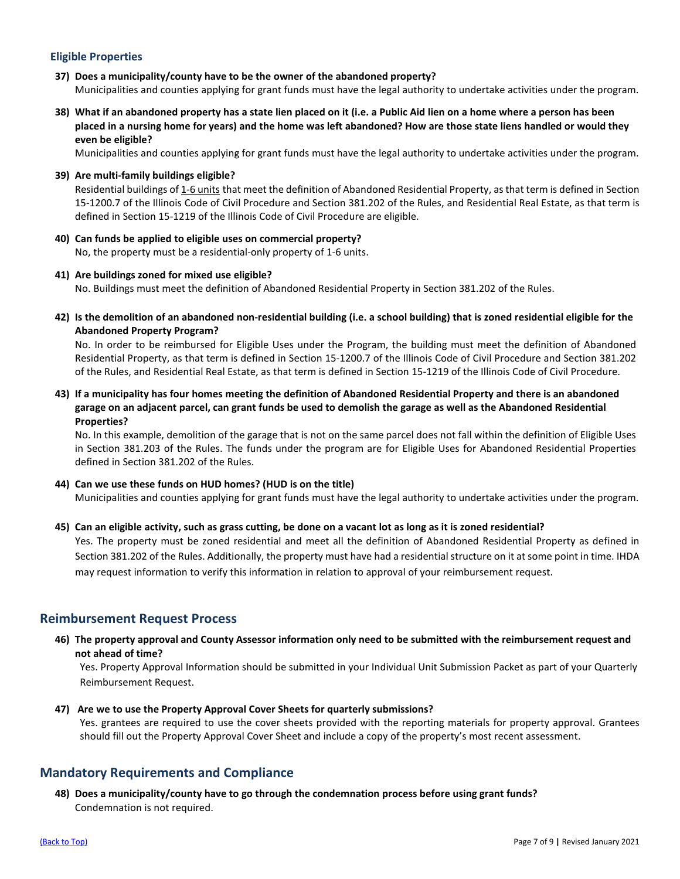### <span id="page-6-0"></span>**Eligible Properties**

- <span id="page-6-1"></span>**37) Does a municipality/county have to be the owner of the abandoned property?** Municipalities and counties applying for grant funds must have the legal authority to undertake activities under the program.
- <span id="page-6-2"></span>**38) What if an abandoned property has a state lien placed on it (i.e. a Public Aid lien on a home where a person has been placed in a nursing home for years) and the home was left abandoned? How are those state liens handled or would they even be eligible?**

Municipalities and counties applying for grant funds must have the legal authority to undertake activities under the program.

<span id="page-6-3"></span>**39) Are multi-family buildings eligible?**

Residential buildings of 1-6 units that meet the definition of Abandoned Residential Property, as that term is defined in Section 15-1200.7 of the Illinois Code of Civil Procedure and Section 381.202 of the Rules, and Residential Real Estate, as that term is defined in Section 15-1219 of the Illinois Code of Civil Procedure are eligible.

- <span id="page-6-4"></span>**40) Can funds be applied to eligible uses on commercial property?** No, the property must be a residential-only property of 1-6 units.
- <span id="page-6-5"></span>**41) Are buildings zoned for mixed use eligible?** No. Buildings must meet the definition of Abandoned Residential Property in Section 381.202 of the Rules.
- <span id="page-6-6"></span>**42) Is the demolition of an abandoned non-residential building (i.e. a school building) that is zoned residential eligible for the Abandoned Property Program?**

No. In order to be reimbursed for Eligible Uses under the Program, the building must meet the definition of Abandoned Residential Property, as that term is defined in Section 15-1200.7 of the Illinois Code of Civil Procedure and Section 381.202 of the Rules, and Residential Real Estate, as that term is defined in Section 15-1219 of the Illinois Code of Civil Procedure.

<span id="page-6-7"></span>**43) If a municipality has four homes meeting the definition of Abandoned Residential Property and there is an abandoned garage on an adjacent parcel, can grant funds be used to demolish the garage as well as the Abandoned Residential Properties?**

No. In this example, demolition of the garage that is not on the same parcel does not fall within the definition of Eligible Uses in Section 381.203 of the Rules. The funds under the program are for Eligible Uses for Abandoned Residential Properties defined in Section 381.202 of the Rules.

<span id="page-6-8"></span>**44) Can we use these funds on HUD homes? (HUD is on the title)**

Municipalities and counties applying for grant funds must have the legal authority to undertake activities under the program.

### <span id="page-6-9"></span>**45) Can an eligible activity, such as grass cutting, be done on a vacant lot as long as it is zoned residential?**

Yes. The property must be zoned residential and meet all the definition of Abandoned Residential Property as defined in Section 381.202 of the Rules. Additionally, the property must have had a residential structure on it at some point in time. IHDA may request information to verify this information in relation to approval of your reimbursement request.

### <span id="page-6-10"></span>**Reimbursement Request Process**

<span id="page-6-11"></span>**46) The property approval and County Assessor information only need to be submitted with the reimbursement request and not ahead of time?**

Yes. Property Approval Information should be submitted in your Individual Unit Submission Packet as part of your Quarterly Reimbursement Request.

<span id="page-6-12"></span>**47) Are we to use the Property Approval Cover Sheets for quarterly submissions?** Yes. grantees are required to use the cover sheets provided with the reporting materials for property approval. Grantees should fill out the Property Approval Cover Sheet and include a copy of the property's most recent assessment.

### <span id="page-6-13"></span>**Mandatory Requirements and Compliance**

<span id="page-6-14"></span>**48) Does a municipality/county have to go through the condemnation process before using grant funds?** Condemnation is not required.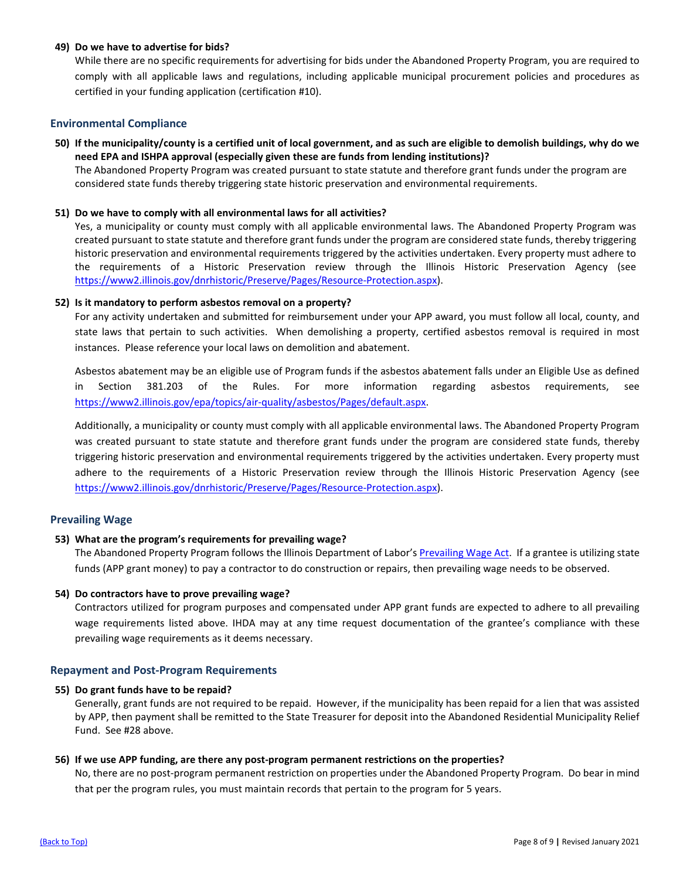### <span id="page-7-0"></span>**49) Do we have to advertise for bids?**

While there are no specific requirements for advertising for bids under the Abandoned Property Program, you are required to comply with all applicable laws and regulations, including applicable municipal procurement policies and procedures as certified in your funding application (certification #10).

### <span id="page-7-1"></span>**Environmental Compliance**

<span id="page-7-2"></span>**50) If the municipality/county is a certified unit of local government, and as such are eligible to demolish buildings, why do we need EPA and ISHPA approval (especially given these are funds from lending institutions)?**

The Abandoned Property Program was created pursuant to state statute and therefore grant funds under the program are considered state funds thereby triggering state historic preservation and environmental requirements.

#### <span id="page-7-3"></span>**51) Do we have to comply with all environmental laws for all activities?**

Yes, a municipality or county must comply with all applicable environmental laws. The Abandoned Property Program was created pursuant to state statute and therefore grant funds under the program are considered state funds, thereby triggering historic preservation and environmental requirements triggered by the activities undertaken. Every property must adhere to the requirements of a Historic Preservation review through the Illinois Historic Preservation Agency (see [https://www2.illinois.gov/dnrhistoric/Preserve/Pages/Resource-Protection.aspx\)](https://www2.illinois.gov/dnrhistoric/Preserve/Pages/Resource-Protection.aspx).

#### <span id="page-7-4"></span>**52) Is it mandatory to perform asbestos removal on a property?**

For any activity undertaken and submitted for reimbursement under your APP award, you must follow all local, county, and state laws that pertain to such activities. When demolishing a property, certified asbestos removal is required in most instances. Please reference your local laws on demolition and abatement.

Asbestos abatement may be an eligible use of Program funds if the asbestos abatement falls under an Eligible Use as defined in Section 381.203 of the Rules. For more information regarding asbestos requirements, see [https://www2.illinois.gov/epa/topics/air-quality/asbestos/Pages/default.aspx.](https://www2.illinois.gov/epa/topics/air-quality/asbestos/Pages/default.aspx)

Additionally, a municipality or county must comply with all applicable environmental laws. The Abandoned Property Program was created pursuant to state statute and therefore grant funds under the program are considered state funds, thereby triggering historic preservation and environmental requirements triggered by the activities undertaken. Every property must adhere to the requirements of a Historic Preservation review through the Illinois Historic Preservation Agency (see [https://www2.illinois.gov/dnrhistoric/Preserve/Pages/Resource-Protection.aspx\)](https://www2.illinois.gov/dnrhistoric/Preserve/Pages/Resource-Protection.aspx).

### <span id="page-7-5"></span>**Prevailing Wage**

### <span id="page-7-6"></span>**53) What are the program's requirements for prevailing wage?**

The Abandoned Property Program follows the Illinois Department of Labor'[s Prevailing Wage Act.](https://www2.illinois.gov/idol/Laws-Rules/CONMED/Pages/prevailing-wage-act.aspx) If a grantee is utilizing state funds (APP grant money) to pay a contractor to do construction or repairs, then prevailing wage needs to be observed.

#### <span id="page-7-7"></span>**54) Do contractors have to prove prevailing wage?**

Contractors utilized for program purposes and compensated under APP grant funds are expected to adhere to all prevailing wage requirements listed above. IHDA may at any time request documentation of the grantee's compliance with these prevailing wage requirements as it deems necessary.

#### <span id="page-7-8"></span>**Repayment and Post-Program Requirements**

#### <span id="page-7-9"></span>**55) Do grant funds have to be repaid?**

Generally, grant funds are not required to be repaid. However, if the municipality has been repaid for a lien that was assisted by APP, then payment shall be remitted to the State Treasurer for deposit into the Abandoned Residential Municipality Relief Fund. See #28 above.

### <span id="page-7-10"></span>**56) If we use APP funding, are there any post-program permanent restrictions on the properties?**

No, there are no post-program permanent restriction on properties under the Abandoned Property Program. Do bear in mind that per the program rules, you must maintain records that pertain to the program for 5 years.